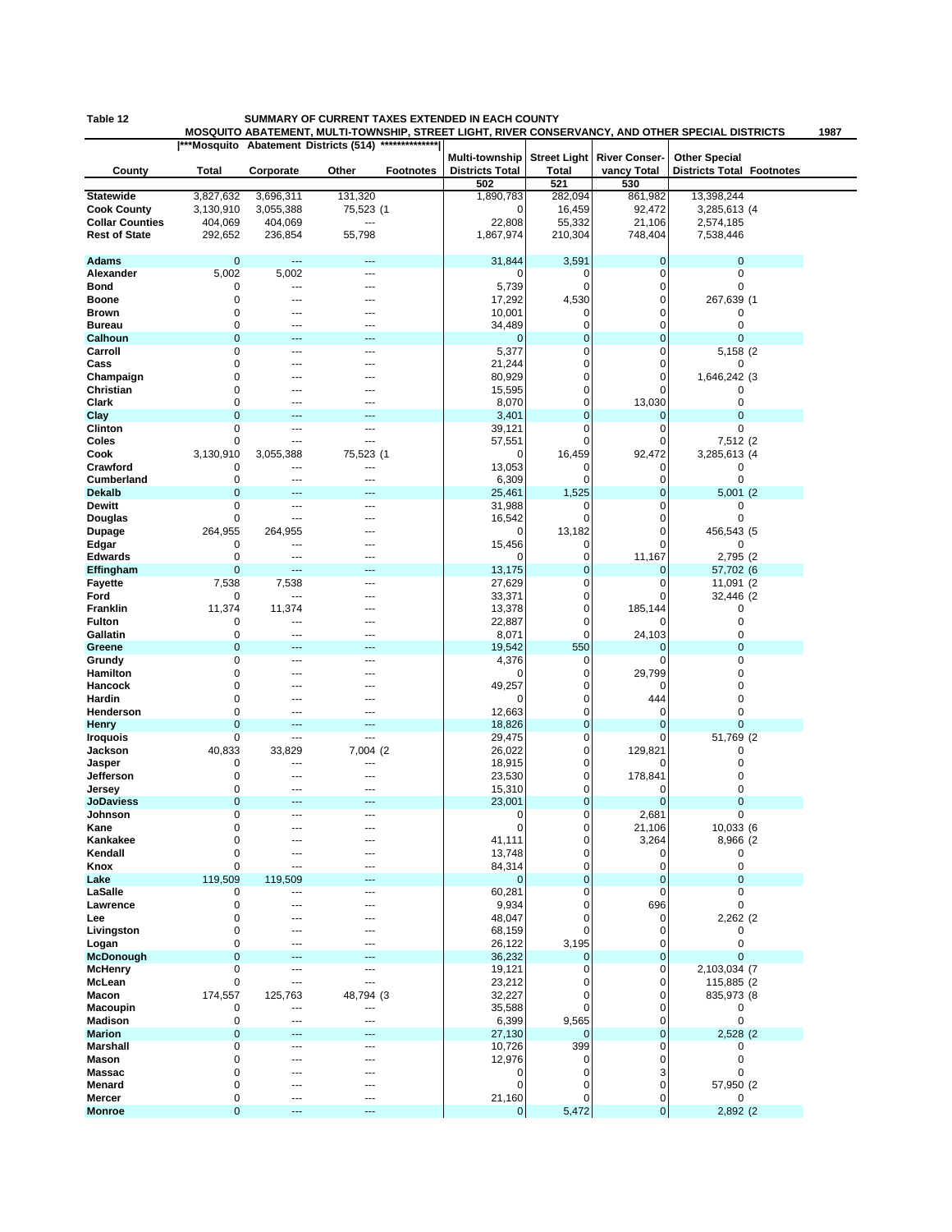## **Table 12 SUMMARY OF CURRENT TAXES EXTENDED IN EACH COUNTY**

**MOSQUITO ABATEMENT, MULTI-TOWNSHIP, STREET LIGHT, RIVER CONSERVANCY, AND OTHER SPECIAL DISTRICTS 1987**

|                        |             |                | ***Mosquito Abatement Districts (514) | **************   |                                          |              | Street Light River Conser- |                                                          |  |
|------------------------|-------------|----------------|---------------------------------------|------------------|------------------------------------------|--------------|----------------------------|----------------------------------------------------------|--|
| County                 | Total       | Corporate      | Other                                 | <b>Footnotes</b> | Multi-township<br><b>Districts Total</b> | <b>Total</b> | vancy Total                | <b>Other Special</b><br><b>Districts Total Footnotes</b> |  |
|                        |             |                |                                       |                  | 502                                      | 521          | 530                        |                                                          |  |
| <b>Statewide</b>       | 3,827,632   | 3,696,311      | 131,320                               |                  | 1,890,783                                | 282,094      | 861,982                    | 13,398,244                                               |  |
| <b>Cook County</b>     | 3,130,910   | 3,055,388      | 75,523 (1                             |                  | 0                                        | 16,459       | 92,472                     | 3,285,613 (4                                             |  |
| <b>Collar Counties</b> | 404,069     | 404,069        | ---                                   |                  | 22,808                                   | 55,332       | 21,106                     | 2,574,185                                                |  |
| <b>Rest of State</b>   | 292,652     | 236,854        | 55,798                                |                  | 1,867,974                                | 210,304      | 748,404                    | 7,538,446                                                |  |
|                        |             |                |                                       |                  |                                          |              |                            |                                                          |  |
| <b>Adams</b>           | $\mathbf 0$ | ---            | ---                                   |                  | 31,844                                   | 3,591        | 0                          | $\mathbf 0$                                              |  |
| Alexander              | 5,002       | 5,002          | $---$                                 |                  | O                                        | 0            | 0                          | 0                                                        |  |
| Bond                   | 0           | $\overline{a}$ | $\sim$                                |                  | 5,739                                    | $\mathbf 0$  | 0                          | 0                                                        |  |
| Boone                  | 0           | ---            | ---                                   |                  | 17,292                                   | 4,530        | 0                          | 267,639 (1                                               |  |
| <b>Brown</b>           | 0           |                | ---                                   |                  | 10,001                                   | 0            | 0                          | 0                                                        |  |
| <b>Bureau</b>          | 0           |                |                                       |                  | 34,489                                   | 0            | 0                          | 0                                                        |  |
| Calhoun                | $\mathbf 0$ |                |                                       |                  | $\overline{0}$                           | 0            | 0                          | $\mathbf 0$                                              |  |
| Carroll                | 0           | ---            | $---$                                 |                  | 5,377                                    | 0            | 0                          | 5,158 (2)                                                |  |
| Cass                   | 0           |                | ---                                   |                  | 21,244                                   | 0            | 0                          | 0                                                        |  |
| Champaign              | 0           |                |                                       |                  | 80,929                                   | 0            | 0                          | 1,646,242 (3                                             |  |
| Christian              | 0           |                |                                       |                  | 15,595                                   | 0            | 0                          | 0                                                        |  |
| Clark                  | 0           |                | ---                                   |                  | 8,070                                    | 0            | 13,030                     | 0                                                        |  |
| Clay                   | $\mathbf 0$ |                |                                       |                  | 3,401                                    | 0            | 0                          | $\mathbf{0}$                                             |  |
| Clinton                | 0           | ---            | $---$                                 |                  | 39,121                                   | 0            | 0                          | 0                                                        |  |
| Coles                  | 0           | ---            | ---                                   |                  | 57,551                                   | 0            | 0                          | 7,512 (2                                                 |  |
| Cook                   | 3,130,910   | 3,055,388      | 75,523 (1                             |                  | 0                                        | 16,459       | 92,472                     | 3,285,613 (4                                             |  |
| Crawford               | 0           | ---            | ---                                   |                  | 13,053                                   | 0            | 0                          | 0                                                        |  |
| <b>Cumberland</b>      | 0           | ---            | ---                                   |                  | 6,309                                    | 0            | 0                          | 0                                                        |  |
| <b>Dekalb</b>          | $\mathbf 0$ |                |                                       |                  | 25,461                                   | 1,525        | 0                          | 5,001(2)                                                 |  |
| <b>Dewitt</b>          | 0           | $\overline{a}$ | $---$                                 |                  | 31,988                                   | 0            | 0                          | 0                                                        |  |
| Douglas                | 0           | ---            | ---                                   |                  | 16,542                                   | $\mathbf 0$  | 0                          | $\mathbf 0$                                              |  |
| <b>Dupage</b>          | 264,955     | 264,955        | ---                                   |                  | 0                                        | 13,182       | 0                          | 456,543 (5                                               |  |
| Edgar                  | 0           | ---            | ---                                   |                  | 15,456                                   | 0            | $\Omega$                   | 0                                                        |  |
| <b>Edwards</b>         | 0           | ---            |                                       |                  | 0                                        | 0            | 11,167                     | 2,795 (2)                                                |  |
| Effingham              | $\mathbf 0$ | ---            | ---                                   |                  | 13,175                                   | 0            | 0                          | 57,702 (6                                                |  |
| <b>Fayette</b>         | 7,538       | 7,538          | $\sim$                                |                  | 27,629                                   | 0            | 0                          | 11,091 (2)                                               |  |
| Ford                   | 0           | ---            |                                       |                  | 33,371                                   | 0            | $\Omega$                   | 32,446 (2)                                               |  |
| Franklin               | 11,374      | 11,374         |                                       |                  | 13,378                                   | 0            | 185,144                    | 0                                                        |  |
| <b>Fulton</b>          | 0           | ---            | ---                                   |                  | 22,887                                   | 0            | $\Omega$                   | 0                                                        |  |
| Gallatin               | 0           |                | ---                                   |                  | 8,071                                    | 0            |                            | 0                                                        |  |
|                        | $\mathbf 0$ |                |                                       |                  |                                          |              | 24,103                     | $\mathbf 0$                                              |  |
| Greene                 |             |                |                                       |                  | 19,542                                   | 550          | 0                          |                                                          |  |
| Grundy                 | 0           | ---            | $---$                                 |                  | 4,376                                    | 0            | 0                          | 0                                                        |  |
| Hamilton               | 0           |                | ---                                   |                  | 0                                        | 0            | 29,799                     | 0                                                        |  |
| Hancock                | 0           |                |                                       |                  | 49,257                                   | 0            | 0                          | 0                                                        |  |
| Hardin                 | 0           |                |                                       |                  | 0                                        | 0            | 444                        | 0                                                        |  |
| Henderson              | $\mathbf 0$ | ---            |                                       |                  | 12,663                                   | 0            | 0                          | $\mathbf 0$                                              |  |
| <b>Henry</b>           | $\mathbf 0$ | $---$          | ---                                   |                  | 18,826                                   | 0            | 0                          | $\mathbf 0$                                              |  |
| <b>Iroquois</b>        | 0           | ---            | ---                                   |                  | 29,475                                   | 0            | 0                          | 51,769 (2                                                |  |
| Jackson                | 40,833      | 33,829         | 7,004 (2                              |                  | 26,022                                   | 0            | 129,821                    | 0                                                        |  |
| Jasper                 | 0           | ---            | ---                                   |                  | 18,915                                   | 0            | 0                          | 0                                                        |  |
| Jefferson              | 0           | ---            | ---                                   |                  | 23,530                                   | 0            | 178,841                    | 0                                                        |  |
| Jersey                 | $\mathbf 0$ | ---            | ---                                   |                  | 15,310                                   | 0            | 0                          | 0                                                        |  |
| <b>JoDaviess</b>       | $\mathbf 0$ | ---            | ---                                   |                  | 23,001                                   | 0            | $\mathbf{0}$               | $\mathbf 0$                                              |  |
| Johnson                | 0           |                |                                       |                  | 0                                        | 0            | 2,681                      | 0                                                        |  |
| Kane                   | 0           | $\overline{a}$ | $\sim$                                |                  | $\mathbf 0$                              | 0            | 21,106                     | 10,033 (6                                                |  |
| Kankakee               | 0           |                |                                       |                  | 41,111                                   | 0            | 3,264                      | 8,966 (2                                                 |  |
| Kendall                | 0           | ---            | ---                                   |                  | 13,748                                   | 0            | 0                          | 0                                                        |  |
| Knox                   | 0           | ---            | ---                                   |                  | 84,314                                   | 0            | 0                          | 0                                                        |  |
| Lake                   | 119,509     | 119,509        | ---                                   |                  | $\mathbf 0$                              | $\mathbf 0$  | 0                          | $\mathbf 0$                                              |  |
| LaSalle                | 0           | ---            | ---                                   |                  | 60,281                                   | 0            | 0                          | 0                                                        |  |
| Lawrence               | 0           | ---            | ---                                   |                  | 9,934                                    | 0            | 696                        | 0                                                        |  |
| Lee                    | 0           |                |                                       |                  | 48,047                                   | 0            | 0                          | 2,262 (2                                                 |  |
| Livingston             | 0           |                |                                       |                  | 68,159                                   | 0            | 0                          | 0                                                        |  |
| Logan                  | 0           | ---            | ---                                   |                  | 26,122                                   | 3,195        | 0                          | $\mathbf 0$                                              |  |
| <b>McDonough</b>       | $\mathbf 0$ | ---            | ---                                   |                  | 36,232                                   | $\mathbf 0$  | 0                          | 0                                                        |  |
| <b>McHenry</b>         | 0           | ---            | ---                                   |                  | 19,121                                   | 0            | 0                          | 2,103,034 (7                                             |  |
| McLean                 | $\mathbf 0$ | ---            | ---                                   |                  | 23,212                                   | 0            | 0                          | 115,885 (2                                               |  |
| Macon                  | 174,557     | 125,763        | 48,794 (3                             |                  | 32,227                                   | 0            | 0                          | 835,973 (8                                               |  |
| Macoupin               | 0           | ---            | ---                                   |                  | 35,588                                   | 0            | 0                          | 0                                                        |  |
| <b>Madison</b>         | $\mathbf 0$ | ---            | ---                                   |                  | 6,399                                    | 9,565        | 0                          | $\pmb{0}$                                                |  |
| <b>Marion</b>          | $\mathbf 0$ |                |                                       |                  | 27,130                                   | $\mathbf 0$  | $\mathbf{0}$               | 2,528 (2)                                                |  |
| Marshall               | 0           | ---            | $---$                                 |                  | 10,726                                   | 399          | 0                          | 0                                                        |  |
| Mason                  | $\mathbf 0$ | ---            | ---                                   |                  | 12,976                                   | 0            | 0                          | 0                                                        |  |
| Massac                 | 0           |                | ---                                   |                  | 0                                        | 0            | 3                          | 0                                                        |  |
| Menard                 | 0           |                |                                       |                  | 0                                        | 0            | 0                          | 57,950 (2                                                |  |
| Mercer                 | 0           | ---            | $---$                                 |                  | 21,160                                   | 0            | 0                          | 0                                                        |  |
| <b>Monroe</b>          | $\mathbf 0$ | ---            | ---                                   |                  | 0                                        | 5,472        | 0                          | 2,892 (2)                                                |  |